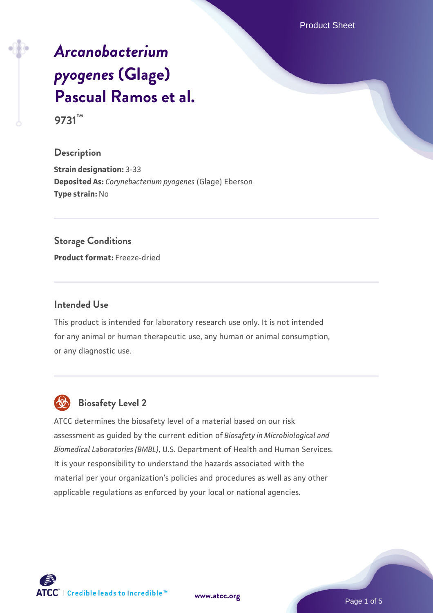Product Sheet

# *[Arcanobacterium](https://www.atcc.org/products/9731) [pyogenes](https://www.atcc.org/products/9731)* **[\(Glage\)](https://www.atcc.org/products/9731) [Pascual Ramos et al.](https://www.atcc.org/products/9731)**

**9731™**

# **Description**

**Strain designation:** 3-33 **Deposited As:** *Corynebacterium pyogenes* (Glage) Eberson **Type strain:** No

## **Storage Conditions**

**Product format:** Freeze-dried

## **Intended Use**

This product is intended for laboratory research use only. It is not intended for any animal or human therapeutic use, any human or animal consumption, or any diagnostic use.



# **Biosafety Level 2**

ATCC determines the biosafety level of a material based on our risk assessment as guided by the current edition of *Biosafety in Microbiological and Biomedical Laboratories (BMBL)*, U.S. Department of Health and Human Services. It is your responsibility to understand the hazards associated with the material per your organization's policies and procedures as well as any other applicable regulations as enforced by your local or national agencies.

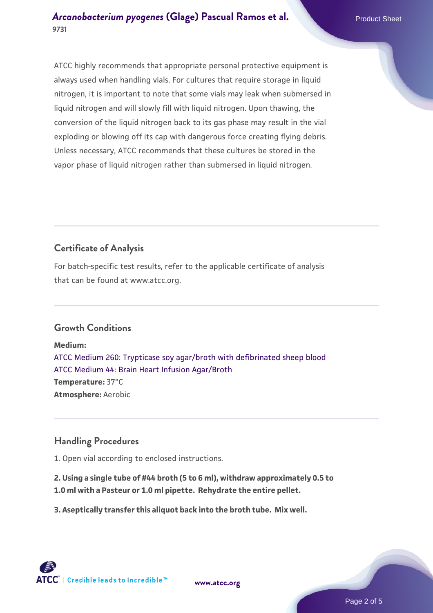# *[Arcanobacterium pyogenes](https://www.atcc.org/products/9731)* **[\(Glage\) Pascual Ramos et al.](https://www.atcc.org/products/9731) Product Sheet 9731**

ATCC highly recommends that appropriate personal protective equipment is always used when handling vials. For cultures that require storage in liquid nitrogen, it is important to note that some vials may leak when submersed in liquid nitrogen and will slowly fill with liquid nitrogen. Upon thawing, the conversion of the liquid nitrogen back to its gas phase may result in the vial exploding or blowing off its cap with dangerous force creating flying debris. Unless necessary, ATCC recommends that these cultures be stored in the vapor phase of liquid nitrogen rather than submersed in liquid nitrogen.

# **Certificate of Analysis**

For batch-specific test results, refer to the applicable certificate of analysis that can be found at www.atcc.org.

# **Growth Conditions**

**Medium:**  [ATCC Medium 260: Trypticase soy agar/broth with defibrinated sheep blood](https://www.atcc.org/-/media/product-assets/documents/microbial-media-formulations/2/6/0/atcc-medium-0260.pdf?rev=5d6614780b1c4acf817a324e2507f087) [ATCC Medium 44: Brain Heart Infusion Agar/Broth](https://www.atcc.org/-/media/product-assets/documents/microbial-media-formulations/4/4/atcc-medium-44.pdf?rev=ce06ac4e5438493b896cd46c7d875629) **Temperature:** 37°C **Atmosphere:** Aerobic

# **Handling Procedures**

1. Open vial according to enclosed instructions.

**2. Using a single tube of #44 broth (5 to 6 ml), withdraw approximately 0.5 to 1.0 ml with a Pasteur or 1.0 ml pipette. Rehydrate the entire pellet.**

**3. Aseptically transfer this aliquot back into the broth tube. Mix well.**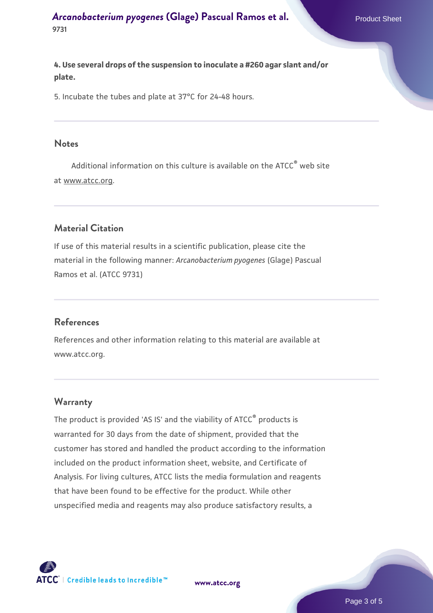## *[Arcanobacterium pyogenes](https://www.atcc.org/products/9731)* **[\(Glage\) Pascual Ramos et al.](https://www.atcc.org/products/9731) Product Sheet 9731**

**4. Use several drops of the suspension to inoculate a #260 agar slant and/or plate.**

5. Incubate the tubes and plate at 37°C for 24-48 hours.

#### **Notes**

Additional information on this culture is available on the ATCC<sup>®</sup> web site at www.atcc.org.

# **Material Citation**

If use of this material results in a scientific publication, please cite the material in the following manner: *Arcanobacterium pyogenes* (Glage) Pascual Ramos et al. (ATCC 9731)

#### **References**

References and other information relating to this material are available at www.atcc.org.

#### **Warranty**

The product is provided 'AS IS' and the viability of ATCC<sup>®</sup> products is warranted for 30 days from the date of shipment, provided that the customer has stored and handled the product according to the information included on the product information sheet, website, and Certificate of Analysis. For living cultures, ATCC lists the media formulation and reagents that have been found to be effective for the product. While other unspecified media and reagents may also produce satisfactory results, a



**[www.atcc.org](http://www.atcc.org)**

Page 3 of 5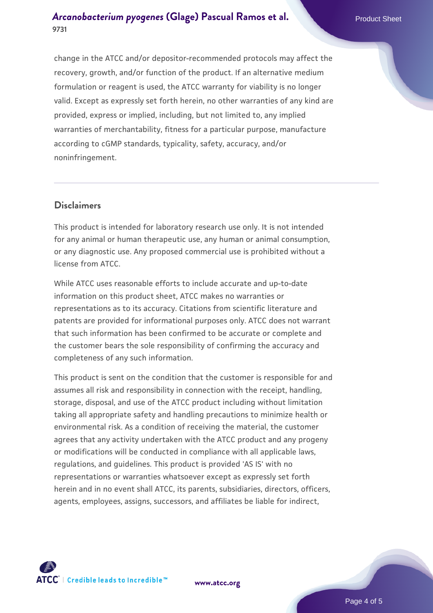change in the ATCC and/or depositor-recommended protocols may affect the recovery, growth, and/or function of the product. If an alternative medium formulation or reagent is used, the ATCC warranty for viability is no longer valid. Except as expressly set forth herein, no other warranties of any kind are provided, express or implied, including, but not limited to, any implied warranties of merchantability, fitness for a particular purpose, manufacture according to cGMP standards, typicality, safety, accuracy, and/or noninfringement.

## **Disclaimers**

This product is intended for laboratory research use only. It is not intended for any animal or human therapeutic use, any human or animal consumption, or any diagnostic use. Any proposed commercial use is prohibited without a license from ATCC.

While ATCC uses reasonable efforts to include accurate and up-to-date information on this product sheet, ATCC makes no warranties or representations as to its accuracy. Citations from scientific literature and patents are provided for informational purposes only. ATCC does not warrant that such information has been confirmed to be accurate or complete and the customer bears the sole responsibility of confirming the accuracy and completeness of any such information.

This product is sent on the condition that the customer is responsible for and assumes all risk and responsibility in connection with the receipt, handling, storage, disposal, and use of the ATCC product including without limitation taking all appropriate safety and handling precautions to minimize health or environmental risk. As a condition of receiving the material, the customer agrees that any activity undertaken with the ATCC product and any progeny or modifications will be conducted in compliance with all applicable laws, regulations, and guidelines. This product is provided 'AS IS' with no representations or warranties whatsoever except as expressly set forth herein and in no event shall ATCC, its parents, subsidiaries, directors, officers, agents, employees, assigns, successors, and affiliates be liable for indirect,